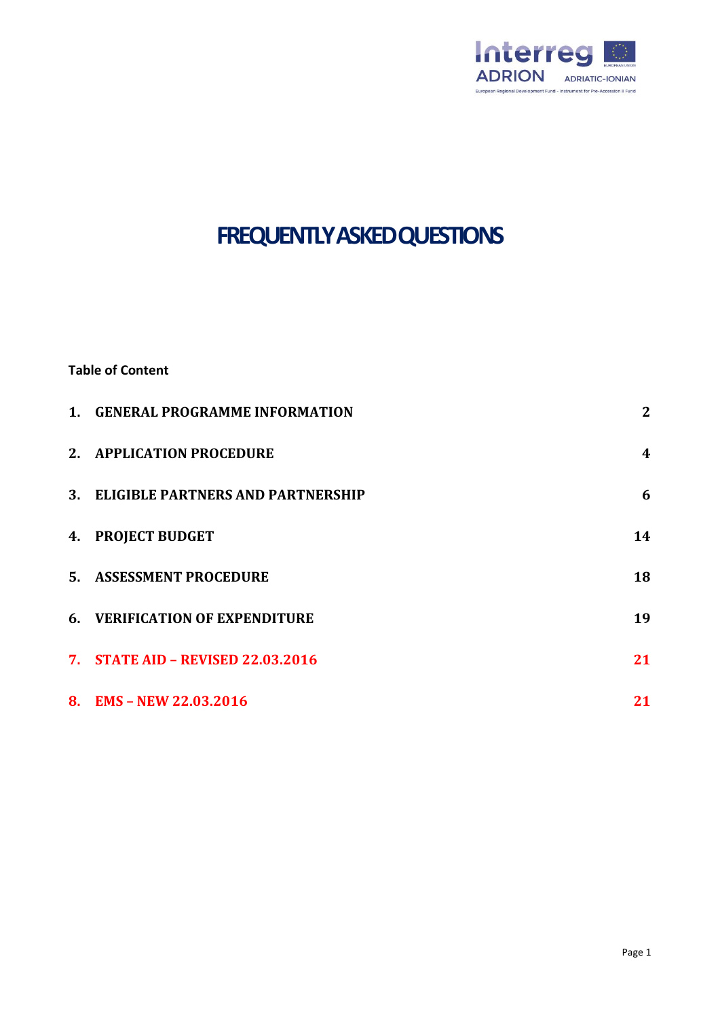

# **FREQUENTLY ASKED QUESTIONS**

# **Table of Content**

| 1. GENERAL PROGRAMME INFORMATION     | $\boldsymbol{2}$ |
|--------------------------------------|------------------|
| 2. APPLICATION PROCEDURE             | $\boldsymbol{4}$ |
| 3. ELIGIBLE PARTNERS AND PARTNERSHIP | 6                |
| 4. PROJECT BUDGET                    | 14               |
| 5. ASSESSMENT PROCEDURE              | 18               |
| 6. VERIFICATION OF EXPENDITURE       | 19               |
| 7. STATE AID - REVISED 22.03.2016    | 21               |
| 8. EMS - NEW 22.03.2016              | 21               |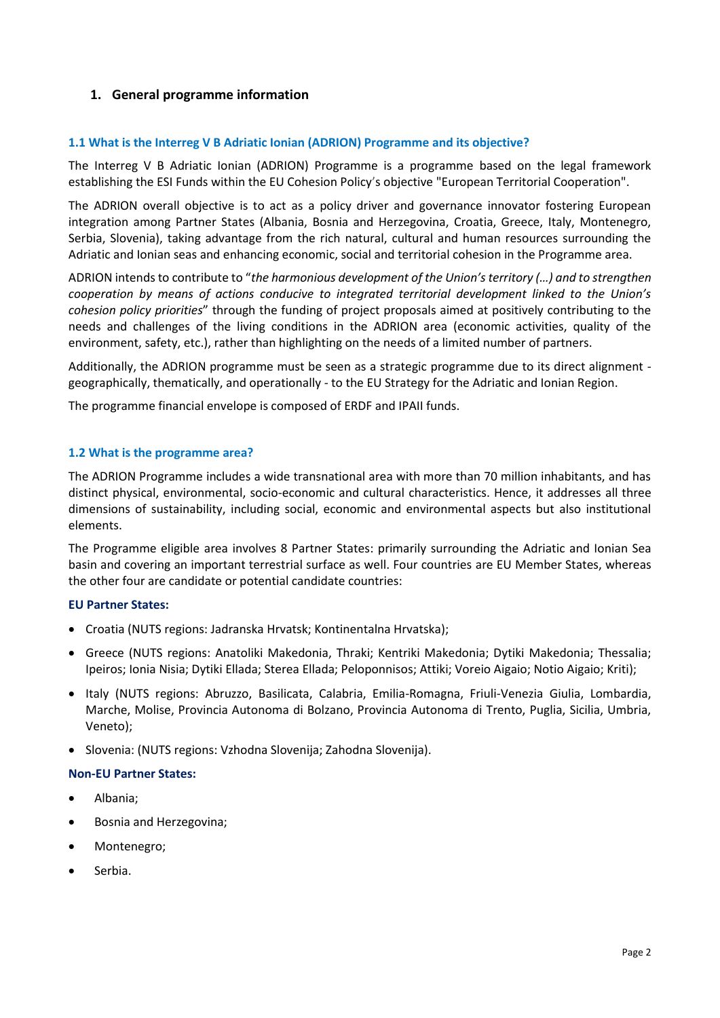# <span id="page-1-0"></span>**1. General programme information**

## **1.1 What is the Interreg V B Adriatic Ionian (ADRION) Programme and its objective?**

The Interreg V B Adriatic Ionian (ADRION) Programme is a programme based on the legal framework establishing the ESI Funds within the EU Cohesion Policy's objective "European Territorial Cooperation".

The ADRION overall objective is to act as a policy driver and governance innovator fostering European integration among Partner States (Albania, Bosnia and Herzegovina, Croatia, Greece, Italy, Montenegro, Serbia, Slovenia), taking advantage from the rich natural, cultural and human resources surrounding the Adriatic and Ionian seas and enhancing economic, social and territorial cohesion in the Programme area.

ADRION intends to contribute to "*the harmonious development of the Union's territory (…) and to strengthen cooperation by means of actions conducive to integrated territorial development linked to the Union's cohesion policy priorities*" through the funding of project proposals aimed at positively contributing to the needs and challenges of the living conditions in the ADRION area (economic activities, quality of the environment, safety, etc.), rather than highlighting on the needs of a limited number of partners.

Additionally, the ADRION programme must be seen as a strategic programme due to its direct alignment geographically, thematically, and operationally - to the EU Strategy for the Adriatic and Ionian Region.

The programme financial envelope is composed of ERDF and IPAII funds.

#### **1.2 What is the programme area?**

The ADRION Programme includes a wide transnational area with more than 70 million inhabitants, and has distinct physical, environmental, socio-economic and cultural characteristics. Hence, it addresses all three dimensions of sustainability, including social, economic and environmental aspects but also institutional elements.

The Programme eligible area involves 8 Partner States: primarily surrounding the Adriatic and Ionian Sea basin and covering an important terrestrial surface as well. Four countries are EU Member States, whereas the other four are candidate or potential candidate countries:

## **EU Partner States:**

- Croatia (NUTS regions: Jadranska Hrvatsk; Kontinentalna Hrvatska);
- Greece (NUTS regions: Anatoliki Makedonia, Thraki; Kentriki Makedonia; Dytiki Makedonia; Thessalia; Ipeiros; Ionia Nisia; Dytiki Ellada; Sterea Ellada; Peloponnisos; Attiki; Voreio Aigaio; Notio Aigaio; Kriti);
- Italy (NUTS regions: Abruzzo, Basilicata, Calabria, Emilia-Romagna, Friuli-Venezia Giulia, Lombardia, Marche, Molise, Provincia Autonoma di Bolzano, Provincia Autonoma di Trento, Puglia, Sicilia, Umbria, Veneto);
- Slovenia: (NUTS regions: Vzhodna Slovenija; Zahodna Slovenija).

#### **Non-EU Partner States:**

- Albania;
- Bosnia and Herzegovina;
- Montenegro;
- Serbia.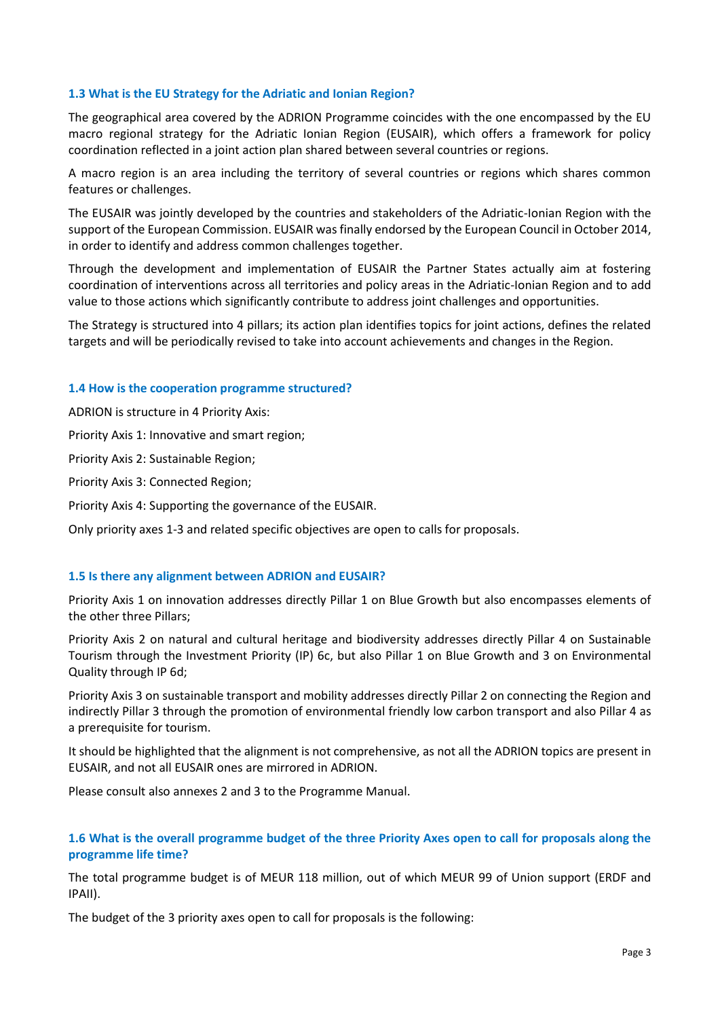## **1.3 What is the EU Strategy for the Adriatic and Ionian Region?**

The geographical area covered by the ADRION Programme coincides with the one encompassed by the EU macro regional strategy for the Adriatic Ionian Region (EUSAIR), which offers a framework for policy coordination reflected in a joint action plan shared between several countries or regions.

A macro region is an area including the territory of several countries or regions which shares common features or challenges.

The EUSAIR was jointly developed by the countries and stakeholders of the Adriatic-Ionian Region with the support of the European Commission. EUSAIR was finally endorsed by the European Council in October 2014, in order to identify and address common challenges together.

Through the development and implementation of EUSAIR the Partner States actually aim at fostering coordination of interventions across all territories and policy areas in the Adriatic-Ionian Region and to add value to those actions which significantly contribute to address joint challenges and opportunities.

The Strategy is structured into 4 pillars; its action plan identifies topics for joint actions, defines the related targets and will be periodically revised to take into account achievements and changes in the Region.

## **1.4 How is the cooperation programme structured?**

ADRION is structure in 4 Priority Axis:

Priority Axis 1: Innovative and smart region;

Priority Axis 2: Sustainable Region;

Priority Axis 3: Connected Region;

Priority Axis 4: Supporting the governance of the EUSAIR.

Only priority axes 1-3 and related specific objectives are open to calls for proposals.

## **1.5 Is there any alignment between ADRION and EUSAIR?**

Priority Axis 1 on innovation addresses directly Pillar 1 on Blue Growth but also encompasses elements of the other three Pillars;

Priority Axis 2 on natural and cultural heritage and biodiversity addresses directly Pillar 4 on Sustainable Tourism through the Investment Priority (IP) 6c, but also Pillar 1 on Blue Growth and 3 on Environmental Quality through IP 6d;

Priority Axis 3 on sustainable transport and mobility addresses directly Pillar 2 on connecting the Region and indirectly Pillar 3 through the promotion of environmental friendly low carbon transport and also Pillar 4 as a prerequisite for tourism.

It should be highlighted that the alignment is not comprehensive, as not all the ADRION topics are present in EUSAIR, and not all EUSAIR ones are mirrored in ADRION.

Please consult also annexes 2 and 3 to the Programme Manual.

## **1.6 What is the overall programme budget of the three Priority Axes open to call for proposals along the programme life time?**

The total programme budget is of MEUR 118 million, out of which MEUR 99 of Union support (ERDF and IPAII).

The budget of the 3 priority axes open to call for proposals is the following: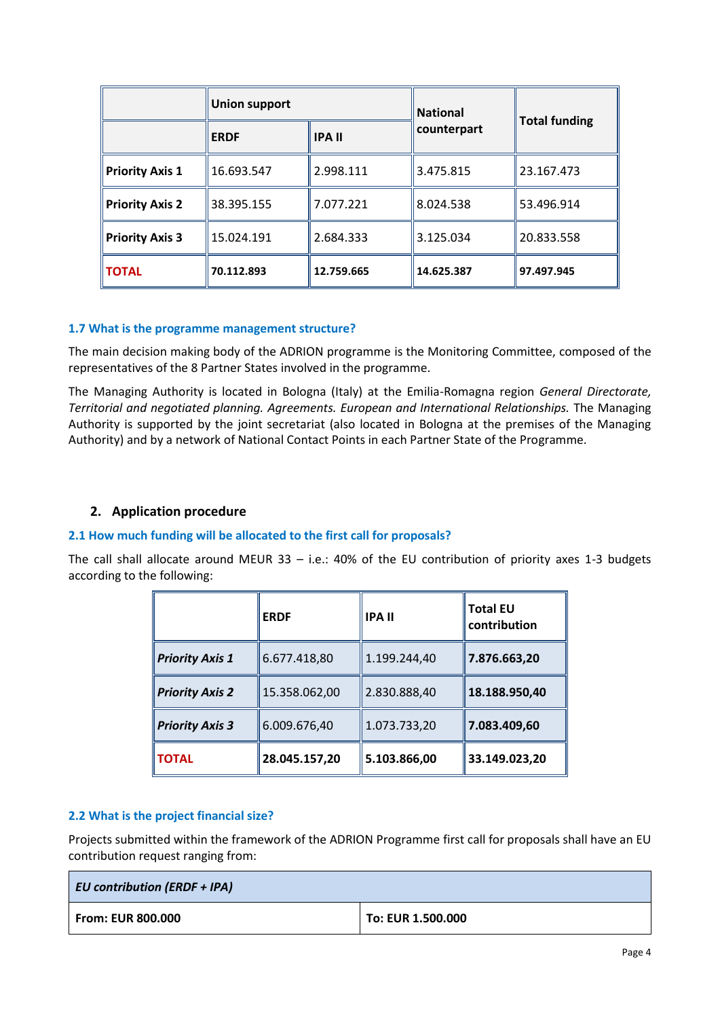|                        | <b>Union support</b> |               | <b>National</b> |                      |
|------------------------|----------------------|---------------|-----------------|----------------------|
|                        | <b>ERDF</b>          | <b>IPA II</b> | counterpart     | <b>Total funding</b> |
| <b>Priority Axis 1</b> | 16.693.547           | 2.998.111     | 3.475.815       | 23.167.473           |
| <b>Priority Axis 2</b> | 38.395.155           | 7.077.221     | 8.024.538       | 53.496.914           |
| <b>Priority Axis 3</b> | 15.024.191           | 2.684.333     | 3.125.034       | 20.833.558           |
| <b>TOTAL</b>           | 70.112.893           | 12.759.665    | 14.625.387      | 97.497.945           |

## **1.7 What is the programme management structure?**

The main decision making body of the ADRION programme is the Monitoring Committee, composed of the representatives of the 8 Partner States involved in the programme.

The Managing Authority is located in Bologna (Italy) at the Emilia-Romagna region *General Directorate, Territorial and negotiated planning. Agreements. European and International Relationships.* The Managing Authority is supported by the joint secretariat (also located in Bologna at the premises of the Managing Authority) and by a network of National Contact Points in each Partner State of the Programme.

# <span id="page-3-0"></span>**2. Application procedure**

## **2.1 How much funding will be allocated to the first call for proposals?**

The call shall allocate around MEUR 33 – i.e.: 40% of the EU contribution of priority axes 1-3 budgets according to the following:

|                        | <b>ERDF</b>   | <b>IPA II</b> | <b>Total EU</b><br>contribution |
|------------------------|---------------|---------------|---------------------------------|
| <b>Priority Axis 1</b> | 6.677.418,80  | 1.199.244,40  | 7.876.663,20                    |
| <b>Priority Axis 2</b> | 15.358.062,00 | 2.830.888,40  | 18.188.950,40                   |
| <b>Priority Axis 3</b> | 6.009.676,40  | 1.073.733,20  | 7.083.409,60                    |
| <b>TOTAL</b>           | 28.045.157,20 | 5.103.866,00  | 33.149.023,20                   |

# **2.2 What is the project financial size?**

Projects submitted within the framework of the ADRION Programme first call for proposals shall have an EU contribution request ranging from:

| <b>EU contribution (ERDF + IPA)</b> |                   |  |
|-------------------------------------|-------------------|--|
| From: EUR 800.000                   | To: EUR 1.500.000 |  |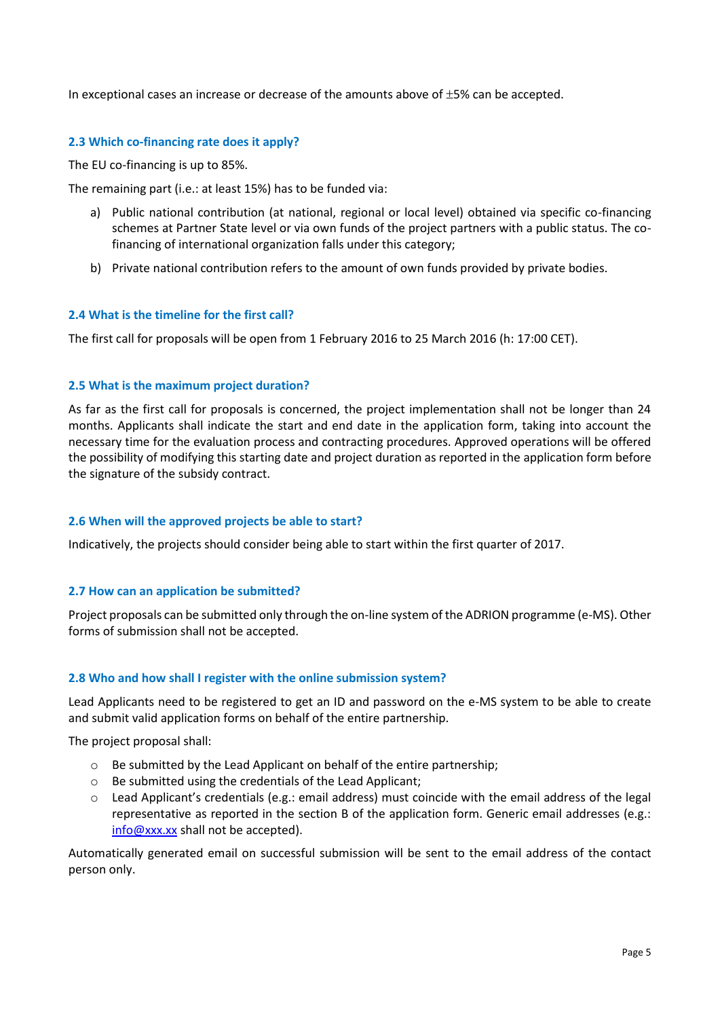In exceptional cases an increase or decrease of the amounts above of  $\pm$ 5% can be accepted.

## **2.3 Which co-financing rate does it apply?**

The EU co-financing is up to 85%.

The remaining part (i.e.: at least 15%) has to be funded via:

- a) Public national contribution (at national, regional or local level) obtained via specific co-financing schemes at Partner State level or via own funds of the project partners with a public status. The cofinancing of international organization falls under this category;
- b) Private national contribution refers to the amount of own funds provided by private bodies.

## **2.4 What is the timeline for the first call?**

The first call for proposals will be open from 1 February 2016 to 25 March 2016 (h: 17:00 CET).

#### **2.5 What is the maximum project duration?**

As far as the first call for proposals is concerned, the project implementation shall not be longer than 24 months. Applicants shall indicate the start and end date in the application form, taking into account the necessary time for the evaluation process and contracting procedures. Approved operations will be offered the possibility of modifying this starting date and project duration as reported in the application form before the signature of the subsidy contract.

## **2.6 When will the approved projects be able to start?**

Indicatively, the projects should consider being able to start within the first quarter of 2017.

## **2.7 How can an application be submitted?**

Project proposals can be submitted only through the on-line system of the ADRION programme (e-MS). Other forms of submission shall not be accepted.

#### **2.8 Who and how shall I register with the online submission system?**

Lead Applicants need to be registered to get an ID and password on the e-MS system to be able to create and submit valid application forms on behalf of the entire partnership.

The project proposal shall:

- o Be submitted by the Lead Applicant on behalf of the entire partnership;
- o Be submitted using the credentials of the Lead Applicant;
- $\circ$  Lead Applicant's credentials (e.g.: email address) must coincide with the email address of the legal representative as reported in the section B of the application form. Generic email addresses (e.g.: [info@xxx.xx](mailto:info@xxx.xx) shall not be accepted).

Automatically generated email on successful submission will be sent to the email address of the contact person only.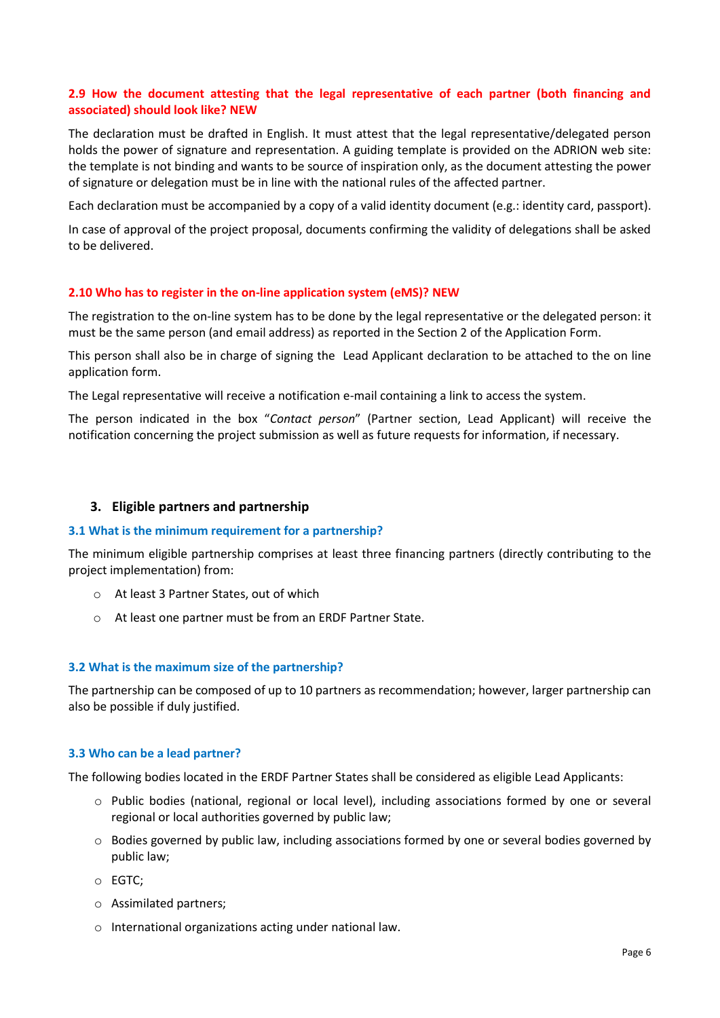## **2.9 How the document attesting that the legal representative of each partner (both financing and associated) should look like? NEW**

The declaration must be drafted in English. It must attest that the legal representative/delegated person holds the power of signature and representation. A guiding template is provided on the ADRION web site: the template is not binding and wants to be source of inspiration only, as the document attesting the power of signature or delegation must be in line with the national rules of the affected partner.

Each declaration must be accompanied by a copy of a valid identity document (e.g.: identity card, passport).

In case of approval of the project proposal, documents confirming the validity of delegations shall be asked to be delivered.

## **2.10 Who has to register in the on-line application system (eMS)? NEW**

The registration to the on-line system has to be done by the legal representative or the delegated person: it must be the same person (and email address) as reported in the Section 2 of the Application Form.

This person shall also be in charge of signing the Lead Applicant declaration to be attached to the on line application form.

The Legal representative will receive a notification e-mail containing a link to access the system.

The person indicated in the box "*Contact person*" (Partner section, Lead Applicant) will receive the notification concerning the project submission as well as future requests for information, if necessary.

## <span id="page-5-0"></span>**3. Eligible partners and partnership**

#### **3.1 What is the minimum requirement for a partnership?**

The minimum eligible partnership comprises at least three financing partners (directly contributing to the project implementation) from:

- o At least 3 Partner States, out of which
- o At least one partner must be from an ERDF Partner State.

## **3.2 What is the maximum size of the partnership?**

The partnership can be composed of up to 10 partners as recommendation; however, larger partnership can also be possible if duly justified.

#### **3.3 Who can be a lead partner?**

The following bodies located in the ERDF Partner States shall be considered as eligible Lead Applicants:

- o Public bodies (national, regional or local level), including associations formed by one or several regional or local authorities governed by public law;
- $\circ$  Bodies governed by public law, including associations formed by one or several bodies governed by public law;
- o EGTC;
- o Assimilated partners;
- o International organizations acting under national law.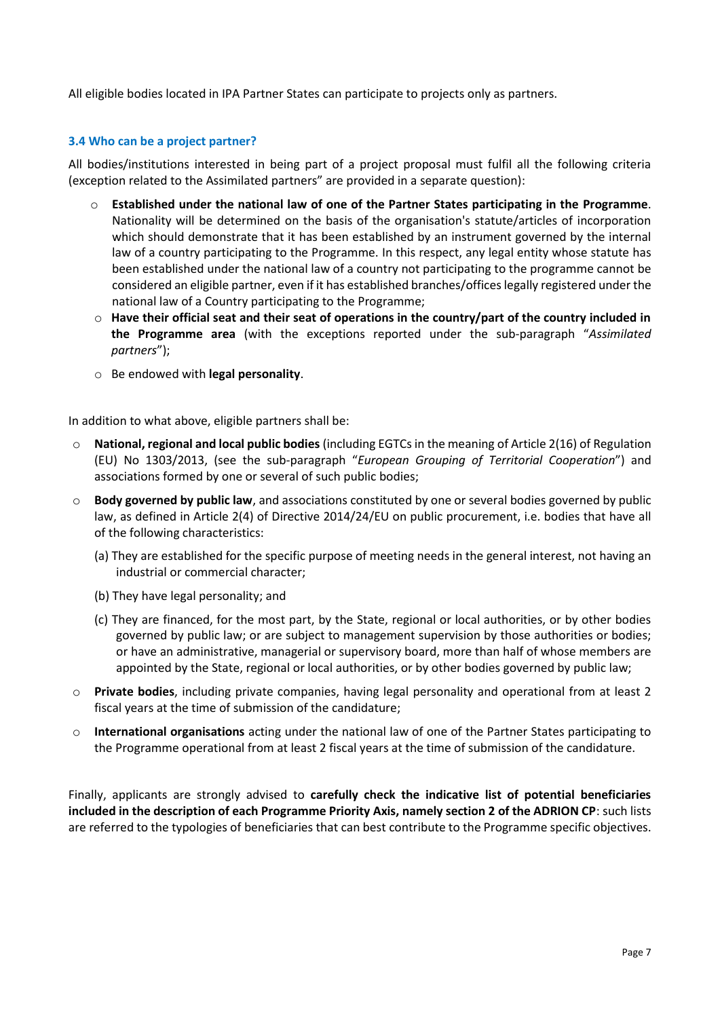All eligible bodies located in IPA Partner States can participate to projects only as partners.

## **3.4 Who can be a project partner?**

All bodies/institutions interested in being part of a project proposal must fulfil all the following criteria (exception related to the Assimilated partners" are provided in a separate question):

- o **Established under the national law of one of the Partner States participating in the Programme**. Nationality will be determined on the basis of the organisation's statute/articles of incorporation which should demonstrate that it has been established by an instrument governed by the internal law of a country participating to the Programme. In this respect, any legal entity whose statute has been established under the national law of a country not participating to the programme cannot be considered an eligible partner, even if it has established branches/offices legally registered under the national law of a Country participating to the Programme;
- o **Have their official seat and their seat of operations in the country/part of the country included in the Programme area** (with the exceptions reported under the sub-paragraph "*Assimilated partners*");
- o Be endowed with **legal personality**.

In addition to what above, eligible partners shall be:

- o **National, regional and local public bodies** (including EGTCs in the meaning of Article 2(16) of Regulation (EU) No 1303/2013, (see the sub-paragraph "*European Grouping of Territorial Cooperation*") and associations formed by one or several of such public bodies;
- o **Body governed by public law**, and associations constituted by one or several bodies governed by public law, as defined in Article 2(4) of Directive 2014/24/EU on public procurement, i.e. bodies that have all of the following characteristics:
	- (a) They are established for the specific purpose of meeting needs in the general interest, not having an industrial or commercial character;
	- (b) They have legal personality; and
	- (c) They are financed, for the most part, by the State, regional or local authorities, or by other bodies governed by public law; or are subject to management supervision by those authorities or bodies; or have an administrative, managerial or supervisory board, more than half of whose members are appointed by the State, regional or local authorities, or by other bodies governed by public law;
- o **Private bodies**, including private companies, having legal personality and operational from at least 2 fiscal years at the time of submission of the candidature;
- o **International organisations** acting under the national law of one of the Partner States participating to the Programme operational from at least 2 fiscal years at the time of submission of the candidature.

Finally, applicants are strongly advised to **carefully check the indicative list of potential beneficiaries included in the description of each Programme Priority Axis, namely section 2 of the ADRION CP**: such lists are referred to the typologies of beneficiaries that can best contribute to the Programme specific objectives.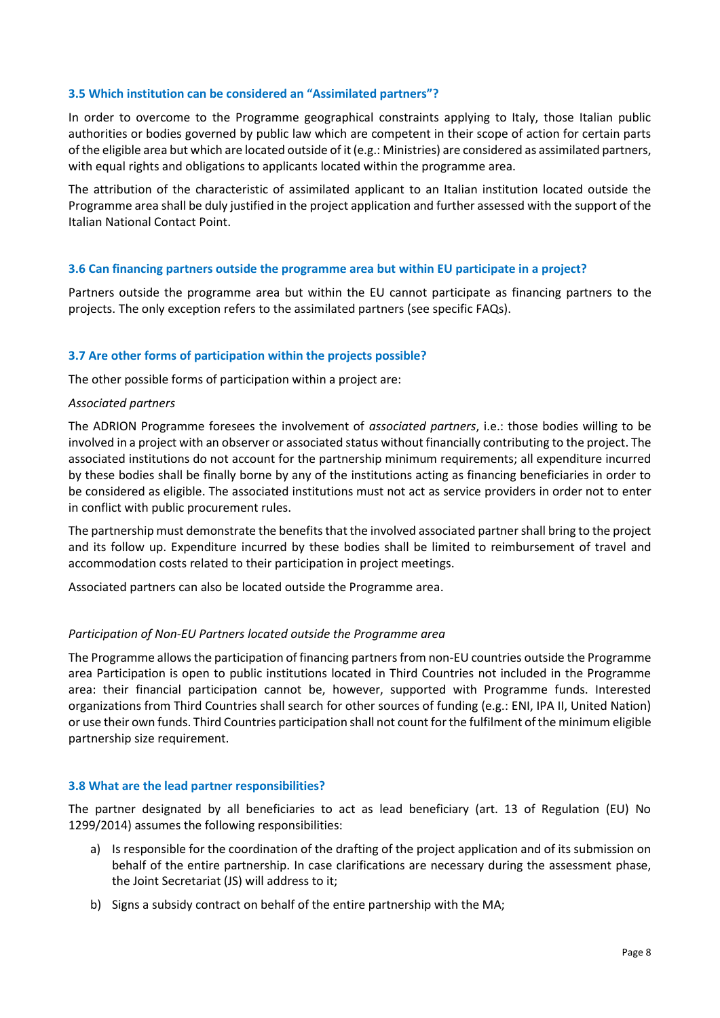#### **3.5 Which institution can be considered an "Assimilated partners"?**

In order to overcome to the Programme geographical constraints applying to Italy, those Italian public authorities or bodies governed by public law which are competent in their scope of action for certain parts of the eligible area but which are located outside of it (e.g.: Ministries) are considered as assimilated partners, with equal rights and obligations to applicants located within the programme area.

The attribution of the characteristic of assimilated applicant to an Italian institution located outside the Programme area shall be duly justified in the project application and further assessed with the support of the Italian National Contact Point.

## **3.6 Can financing partners outside the programme area but within EU participate in a project?**

Partners outside the programme area but within the EU cannot participate as financing partners to the projects. The only exception refers to the assimilated partners (see specific FAQs).

#### **3.7 Are other forms of participation within the projects possible?**

The other possible forms of participation within a project are:

#### *Associated partners*

The ADRION Programme foresees the involvement of *associated partners*, i.e.: those bodies willing to be involved in a project with an observer or associated status without financially contributing to the project. The associated institutions do not account for the partnership minimum requirements; all expenditure incurred by these bodies shall be finally borne by any of the institutions acting as financing beneficiaries in order to be considered as eligible. The associated institutions must not act as service providers in order not to enter in conflict with public procurement rules.

The partnership must demonstrate the benefits that the involved associated partner shall bring to the project and its follow up. Expenditure incurred by these bodies shall be limited to reimbursement of travel and accommodation costs related to their participation in project meetings.

Associated partners can also be located outside the Programme area.

#### *Participation of Non-EU Partners located outside the Programme area*

The Programme allows the participation of financing partners from non-EU countries outside the Programme area Participation is open to public institutions located in Third Countries not included in the Programme area: their financial participation cannot be, however, supported with Programme funds. Interested organizations from Third Countries shall search for other sources of funding (e.g.: ENI, IPA II, United Nation) or use their own funds. Third Countries participation shall not count for the fulfilment of the minimum eligible partnership size requirement.

#### **3.8 What are the lead partner responsibilities?**

The partner designated by all beneficiaries to act as lead beneficiary (art. 13 of Regulation (EU) No 1299/2014) assumes the following responsibilities:

- a) Is responsible for the coordination of the drafting of the project application and of its submission on behalf of the entire partnership. In case clarifications are necessary during the assessment phase, the Joint Secretariat (JS) will address to it;
- b) Signs a subsidy contract on behalf of the entire partnership with the MA;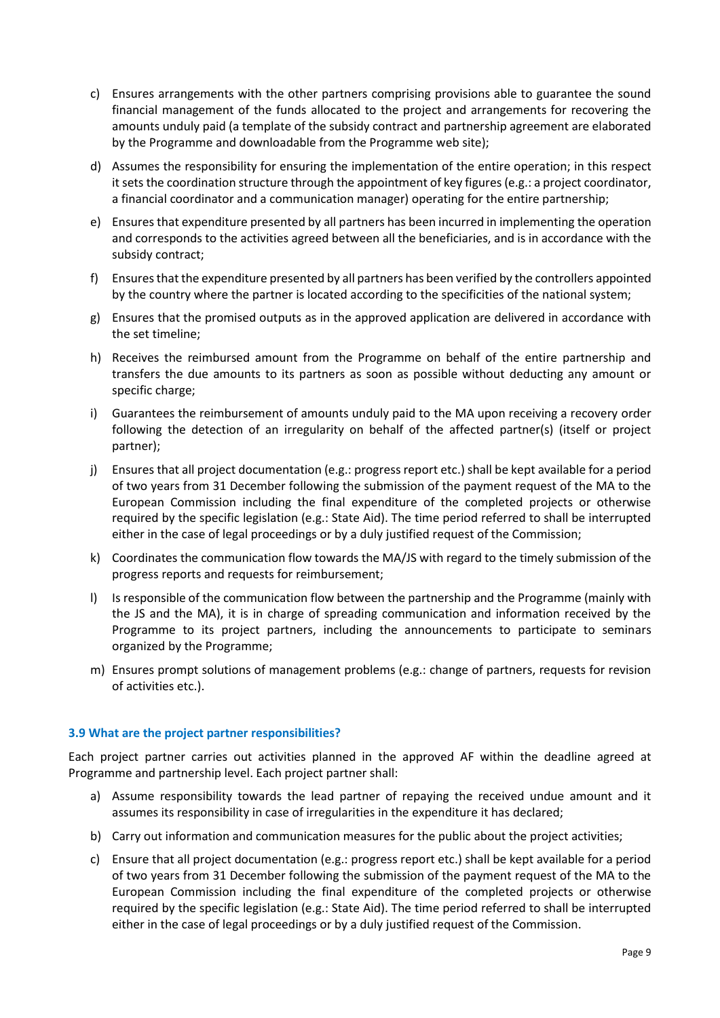- c) Ensures arrangements with the other partners comprising provisions able to guarantee the sound financial management of the funds allocated to the project and arrangements for recovering the amounts unduly paid (a template of the subsidy contract and partnership agreement are elaborated by the Programme and downloadable from the Programme web site);
- d) Assumes the responsibility for ensuring the implementation of the entire operation; in this respect it sets the coordination structure through the appointment of key figures (e.g.: a project coordinator, a financial coordinator and a communication manager) operating for the entire partnership;
- e) Ensures that expenditure presented by all partners has been incurred in implementing the operation and corresponds to the activities agreed between all the beneficiaries, and is in accordance with the subsidy contract;
- f) Ensures that the expenditure presented by all partners has been verified by the controllers appointed by the country where the partner is located according to the specificities of the national system;
- g) Ensures that the promised outputs as in the approved application are delivered in accordance with the set timeline;
- h) Receives the reimbursed amount from the Programme on behalf of the entire partnership and transfers the due amounts to its partners as soon as possible without deducting any amount or specific charge;
- i) Guarantees the reimbursement of amounts unduly paid to the MA upon receiving a recovery order following the detection of an irregularity on behalf of the affected partner(s) (itself or project partner);
- j) Ensures that all project documentation (e.g.: progress report etc.) shall be kept available for a period of two years from 31 December following the submission of the payment request of the MA to the European Commission including the final expenditure of the completed projects or otherwise required by the specific legislation (e.g.: State Aid). The time period referred to shall be interrupted either in the case of legal proceedings or by a duly justified request of the Commission;
- k) Coordinates the communication flow towards the MA/JS with regard to the timely submission of the progress reports and requests for reimbursement;
- l) Is responsible of the communication flow between the partnership and the Programme (mainly with the JS and the MA), it is in charge of spreading communication and information received by the Programme to its project partners, including the announcements to participate to seminars organized by the Programme;
- m) Ensures prompt solutions of management problems (e.g.: change of partners, requests for revision of activities etc.).

# **3.9 What are the project partner responsibilities?**

Each project partner carries out activities planned in the approved AF within the deadline agreed at Programme and partnership level. Each project partner shall:

- a) Assume responsibility towards the lead partner of repaying the received undue amount and it assumes its responsibility in case of irregularities in the expenditure it has declared;
- b) Carry out information and communication measures for the public about the project activities;
- c) Ensure that all project documentation (e.g.: progress report etc.) shall be kept available for a period of two years from 31 December following the submission of the payment request of the MA to the European Commission including the final expenditure of the completed projects or otherwise required by the specific legislation (e.g.: State Aid). The time period referred to shall be interrupted either in the case of legal proceedings or by a duly justified request of the Commission.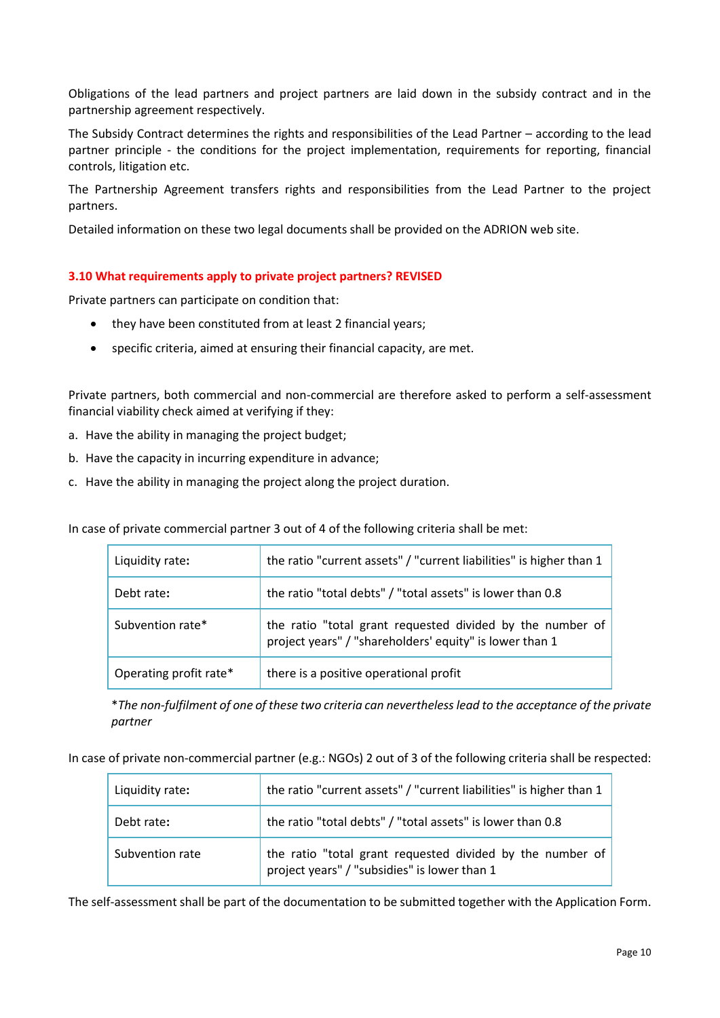Obligations of the lead partners and project partners are laid down in the subsidy contract and in the partnership agreement respectively.

The Subsidy Contract determines the rights and responsibilities of the Lead Partner – according to the lead partner principle - the conditions for the project implementation, requirements for reporting, financial controls, litigation etc.

The Partnership Agreement transfers rights and responsibilities from the Lead Partner to the project partners.

Detailed information on these two legal documents shall be provided on the ADRION web site.

## **3.10 What requirements apply to private project partners? REVISED**

Private partners can participate on condition that:

- they have been constituted from at least 2 financial years;
- specific criteria, aimed at ensuring their financial capacity, are met.

Private partners, both commercial and non-commercial are therefore asked to perform a self-assessment financial viability check aimed at verifying if they:

- a. Have the ability in managing the project budget;
- b. Have the capacity in incurring expenditure in advance;
- c. Have the ability in managing the project along the project duration.

In case of private commercial partner 3 out of 4 of the following criteria shall be met:

| Liquidity rate:        | the ratio "current assets" / "current liabilities" is higher than 1                                                  |
|------------------------|----------------------------------------------------------------------------------------------------------------------|
| Debt rate:             | the ratio "total debts" / "total assets" is lower than 0.8                                                           |
| Subvention rate*       | the ratio "total grant requested divided by the number of<br>project years" / "shareholders' equity" is lower than 1 |
| Operating profit rate* | there is a positive operational profit                                                                               |

\**The non-fulfilment of one of these two criteria can nevertheless lead to the acceptance of the private partner*

In case of private non-commercial partner (e.g.: NGOs) 2 out of 3 of the following criteria shall be respected:

| Liquidity rate: | the ratio "current assets" / "current liabilities" is higher than 1                                       |
|-----------------|-----------------------------------------------------------------------------------------------------------|
| Debt rate:      | the ratio "total debts" / "total assets" is lower than 0.8                                                |
| Subvention rate | the ratio "total grant requested divided by the number of<br>project years" / "subsidies" is lower than 1 |

The self-assessment shall be part of the documentation to be submitted together with the Application Form.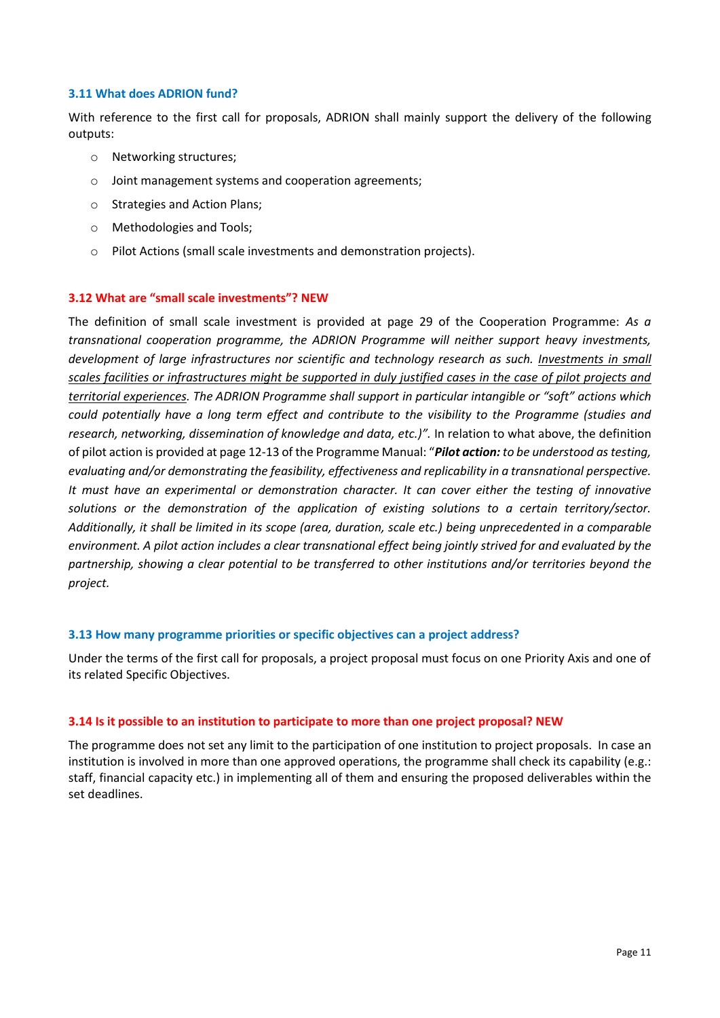#### **3.11 What does ADRION fund?**

With reference to the first call for proposals, ADRION shall mainly support the delivery of the following outputs:

- o Networking structures;
- o Joint management systems and cooperation agreements;
- o Strategies and Action Plans;
- o Methodologies and Tools;
- o Pilot Actions (small scale investments and demonstration projects).

#### **3.12 What are "small scale investments"? NEW**

The definition of small scale investment is provided at page 29 of the Cooperation Programme: *As a transnational cooperation programme, the ADRION Programme will neither support heavy investments, development of large infrastructures nor scientific and technology research as such. Investments in small scales facilities or infrastructures might be supported in duly justified cases in the case of pilot projects and territorial experiences. The ADRION Programme shall support in particular intangible or "soft" actions which could potentially have a long term effect and contribute to the visibility to the Programme (studies and research, networking, dissemination of knowledge and data, etc.)".* In relation to what above, the definition of pilot action is provided at page 12-13 of the Programme Manual: "*Pilot action: to be understood as testing, evaluating and/or demonstrating the feasibility, effectiveness and replicability in a transnational perspective. It must have an experimental or demonstration character. It can cover either the testing of innovative solutions or the demonstration of the application of existing solutions to a certain territory/sector. Additionally, it shall be limited in its scope (area, duration, scale etc.) being unprecedented in a comparable environment. A pilot action includes a clear transnational effect being jointly strived for and evaluated by the partnership, showing a clear potential to be transferred to other institutions and/or territories beyond the project.*

#### **3.13 How many programme priorities or specific objectives can a project address?**

Under the terms of the first call for proposals, a project proposal must focus on one Priority Axis and one of its related Specific Objectives.

#### **3.14 Is it possible to an institution to participate to more than one project proposal? NEW**

The programme does not set any limit to the participation of one institution to project proposals. In case an institution is involved in more than one approved operations, the programme shall check its capability (e.g.: staff, financial capacity etc.) in implementing all of them and ensuring the proposed deliverables within the set deadlines.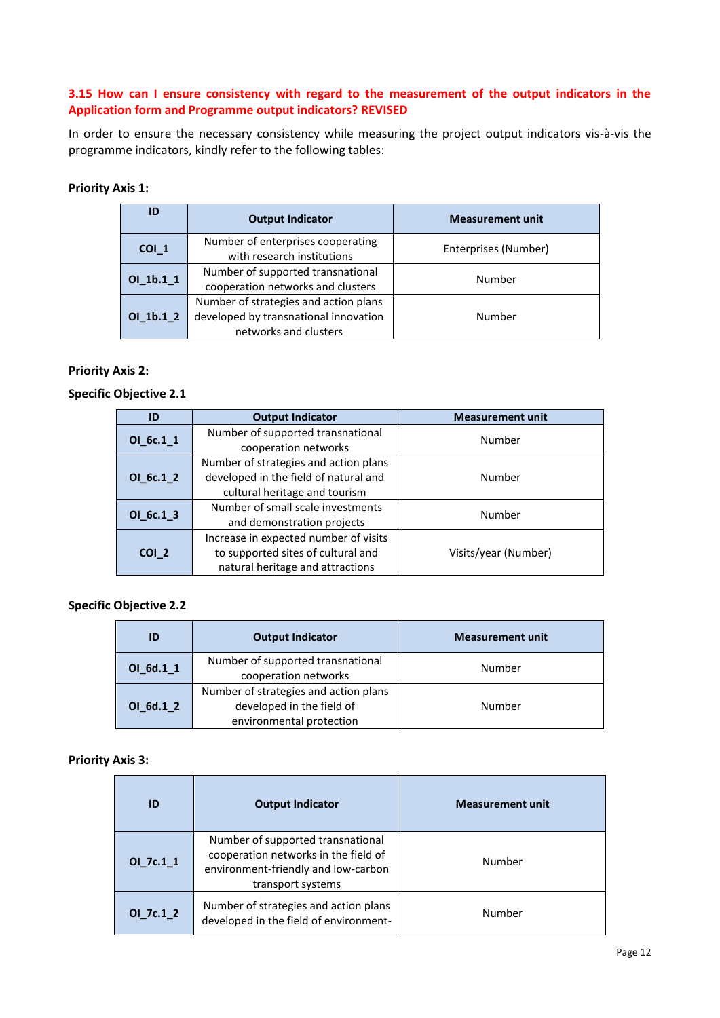## **3.15 How can I ensure consistency with regard to the measurement of the output indicators in the Application form and Programme output indicators? REVISED**

In order to ensure the necessary consistency while measuring the project output indicators vis-à-vis the programme indicators, kindly refer to the following tables:

## **Priority Axis 1:**

| ID          | <b>Output Indicator</b>                                                                                 | <b>Measurement unit</b> |
|-------------|---------------------------------------------------------------------------------------------------------|-------------------------|
| COI 1       | Number of enterprises cooperating<br>with research institutions                                         | Enterprises (Number)    |
| $OI_1b.1_1$ | Number of supported transnational<br>cooperation networks and clusters                                  | Number                  |
| $OI_1b.1_2$ | Number of strategies and action plans<br>developed by transnational innovation<br>networks and clusters | Number                  |

#### **Priority Axis 2:**

## **Specific Objective 2.1**

| ID               | <b>Output Indicator</b>               | <b>Measurement unit</b> |  |
|------------------|---------------------------------------|-------------------------|--|
| $OI_6c.1_1$      | Number of supported transnational     | Number                  |  |
|                  | cooperation networks                  |                         |  |
|                  | Number of strategies and action plans |                         |  |
| OI 6c.1 2        | developed in the field of natural and | Number                  |  |
|                  | cultural heritage and tourism         |                         |  |
| $OI_6c.1_3$      | Number of small scale investments     | Number                  |  |
|                  | and demonstration projects            |                         |  |
|                  | Increase in expected number of visits |                         |  |
| COI <sub>2</sub> | to supported sites of cultural and    | Visits/year (Number)    |  |
|                  | natural heritage and attractions      |                         |  |

## **Specific Objective 2.2**

| ID          | <b>Output Indicator</b>                                                                        | <b>Measurement unit</b> |
|-------------|------------------------------------------------------------------------------------------------|-------------------------|
| $OI_6d.1_1$ | Number of supported transnational<br>cooperation networks                                      | Number                  |
| $OI_6d.1_2$ | Number of strategies and action plans<br>developed in the field of<br>environmental protection | Number                  |

#### **Priority Axis 3:**

| <b>Output Indicator</b><br>ID                                                                                                                              |                                                                                 | <b>Measurement unit</b> |
|------------------------------------------------------------------------------------------------------------------------------------------------------------|---------------------------------------------------------------------------------|-------------------------|
| Number of supported transnational<br>cooperation networks in the field of<br>OL7c.11<br>Number<br>environment-friendly and low-carbon<br>transport systems |                                                                                 |                         |
| $OI_7c.1_2$                                                                                                                                                | Number of strategies and action plans<br>developed in the field of environment- | Number                  |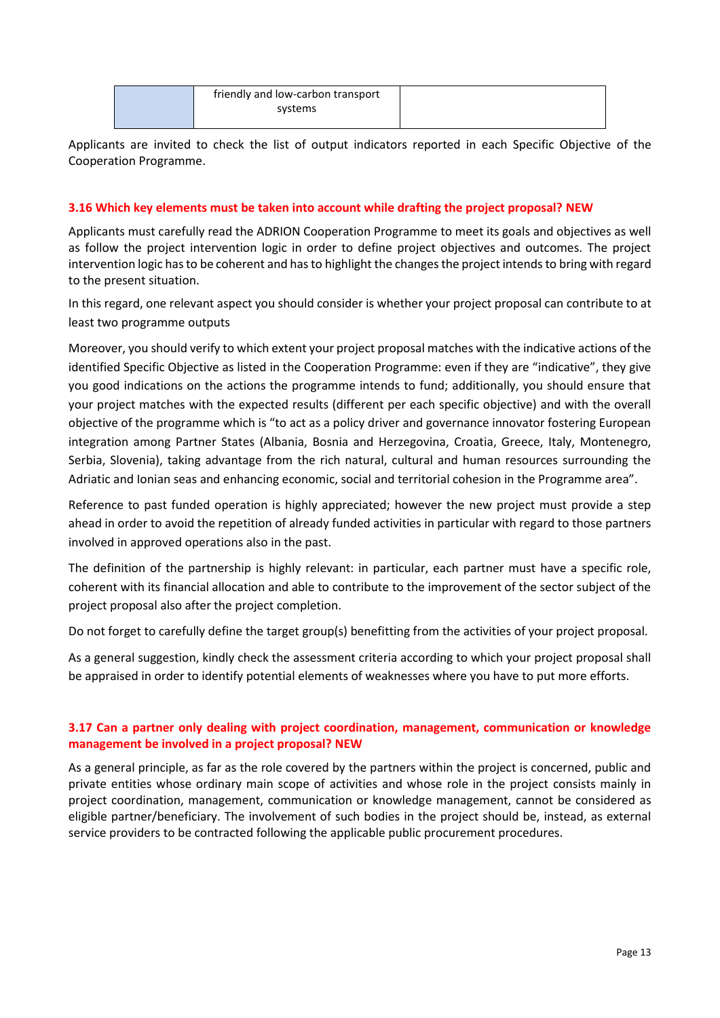| friendly and low-carbon transport |  |
|-----------------------------------|--|
| systems                           |  |
|                                   |  |

Applicants are invited to check the list of output indicators reported in each Specific Objective of the Cooperation Programme.

## **3.16 Which key elements must be taken into account while drafting the project proposal? NEW**

Applicants must carefully read the ADRION Cooperation Programme to meet its goals and objectives as well as follow the project intervention logic in order to define project objectives and outcomes. The project intervention logic has to be coherent and has to highlight the changes the project intends to bring with regard to the present situation.

In this regard, one relevant aspect you should consider is whether your project proposal can contribute to at least two programme outputs

Moreover, you should verify to which extent your project proposal matches with the indicative actions of the identified Specific Objective as listed in the Cooperation Programme: even if they are "indicative", they give you good indications on the actions the programme intends to fund; additionally, you should ensure that your project matches with the expected results (different per each specific objective) and with the overall objective of the programme which is "to act as a policy driver and governance innovator fostering European integration among Partner States (Albania, Bosnia and Herzegovina, Croatia, Greece, Italy, Montenegro, Serbia, Slovenia), taking advantage from the rich natural, cultural and human resources surrounding the Adriatic and Ionian seas and enhancing economic, social and territorial cohesion in the Programme area".

Reference to past funded operation is highly appreciated; however the new project must provide a step ahead in order to avoid the repetition of already funded activities in particular with regard to those partners involved in approved operations also in the past.

The definition of the partnership is highly relevant: in particular, each partner must have a specific role, coherent with its financial allocation and able to contribute to the improvement of the sector subject of the project proposal also after the project completion.

Do not forget to carefully define the target group(s) benefitting from the activities of your project proposal.

As a general suggestion, kindly check the assessment criteria according to which your project proposal shall be appraised in order to identify potential elements of weaknesses where you have to put more efforts.

# **3.17 Can a partner only dealing with project coordination, management, communication or knowledge management be involved in a project proposal? NEW**

As a general principle, as far as the role covered by the partners within the project is concerned, public and private entities whose ordinary main scope of activities and whose role in the project consists mainly in project coordination, management, communication or knowledge management, cannot be considered as eligible partner/beneficiary. The involvement of such bodies in the project should be, instead, as external service providers to be contracted following the applicable public procurement procedures.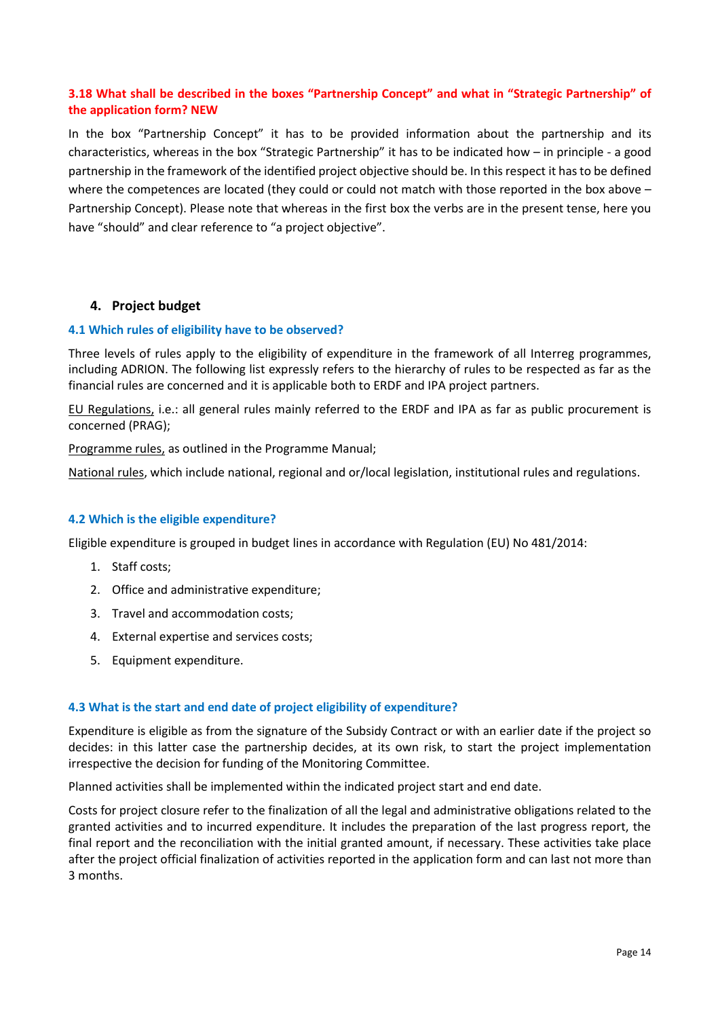# **3.18 What shall be described in the boxes "Partnership Concept" and what in "Strategic Partnership" of the application form? NEW**

In the box "Partnership Concept" it has to be provided information about the partnership and its characteristics, whereas in the box "Strategic Partnership" it has to be indicated how – in principle - a good partnership in the framework of the identified project objective should be. In this respect it has to be defined where the competences are located (they could or could not match with those reported in the box above – Partnership Concept). Please note that whereas in the first box the verbs are in the present tense, here you have "should" and clear reference to "a project objective".

# <span id="page-13-0"></span>**4. Project budget**

#### **4.1 Which rules of eligibility have to be observed?**

Three levels of rules apply to the eligibility of expenditure in the framework of all Interreg programmes, including ADRION. The following list expressly refers to the hierarchy of rules to be respected as far as the financial rules are concerned and it is applicable both to ERDF and IPA project partners.

EU Regulations, i.e.: all general rules mainly referred to the ERDF and IPA as far as public procurement is concerned (PRAG);

Programme rules, as outlined in the Programme Manual;

National rules, which include national, regional and or/local legislation, institutional rules and regulations.

## **4.2 Which is the eligible expenditure?**

Eligible expenditure is grouped in budget lines in accordance with Regulation (EU) No 481/2014:

- 1. Staff costs;
- 2. Office and administrative expenditure;
- 3. Travel and accommodation costs;
- 4. External expertise and services costs;
- 5. Equipment expenditure.

#### **4.3 What is the start and end date of project eligibility of expenditure?**

Expenditure is eligible as from the signature of the Subsidy Contract or with an earlier date if the project so decides: in this latter case the partnership decides, at its own risk, to start the project implementation irrespective the decision for funding of the Monitoring Committee.

Planned activities shall be implemented within the indicated project start and end date.

Costs for project closure refer to the finalization of all the legal and administrative obligations related to the granted activities and to incurred expenditure. It includes the preparation of the last progress report, the final report and the reconciliation with the initial granted amount, if necessary. These activities take place after the project official finalization of activities reported in the application form and can last not more than 3 months.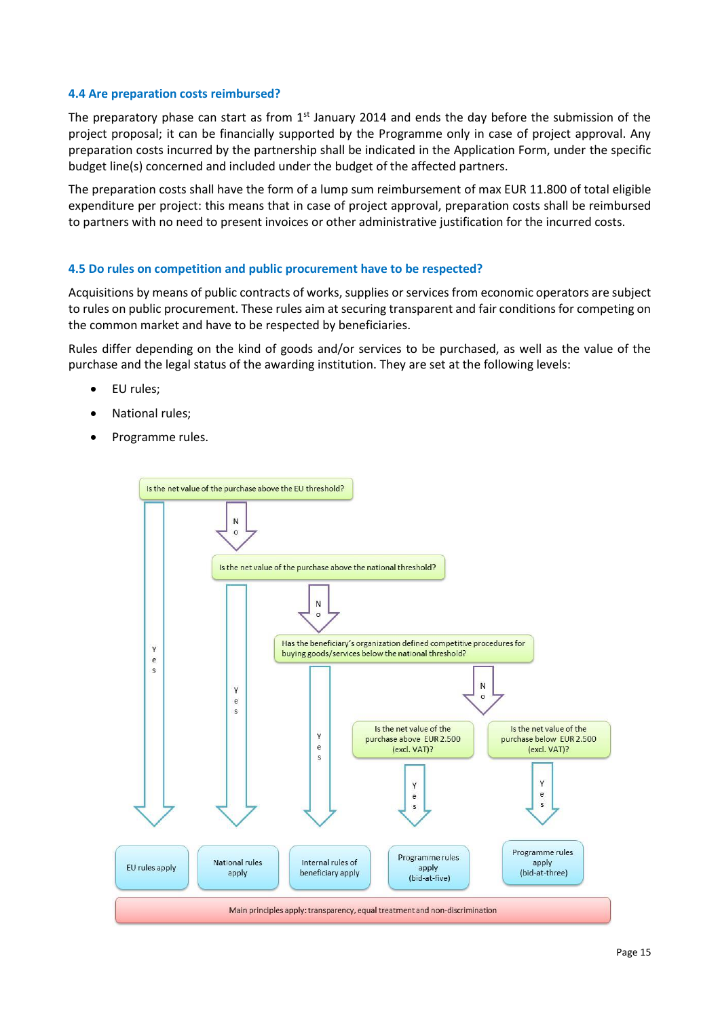#### **4.4 Are preparation costs reimbursed?**

The preparatory phase can start as from  $1<sup>st</sup>$  January 2014 and ends the day before the submission of the project proposal; it can be financially supported by the Programme only in case of project approval. Any preparation costs incurred by the partnership shall be indicated in the Application Form, under the specific budget line(s) concerned and included under the budget of the affected partners.

The preparation costs shall have the form of a lump sum reimbursement of max EUR 11.800 of total eligible expenditure per project: this means that in case of project approval, preparation costs shall be reimbursed to partners with no need to present invoices or other administrative justification for the incurred costs.

#### **4.5 Do rules on competition and public procurement have to be respected?**

Acquisitions by means of public contracts of works, supplies or services from economic operators are subject to rules on public procurement. These rules aim at securing transparent and fair conditions for competing on the common market and have to be respected by beneficiaries.

Rules differ depending on the kind of goods and/or services to be purchased, as well as the value of the purchase and the legal status of the awarding institution. They are set at the following levels:

- EU rules;
- National rules;
- Programme rules.

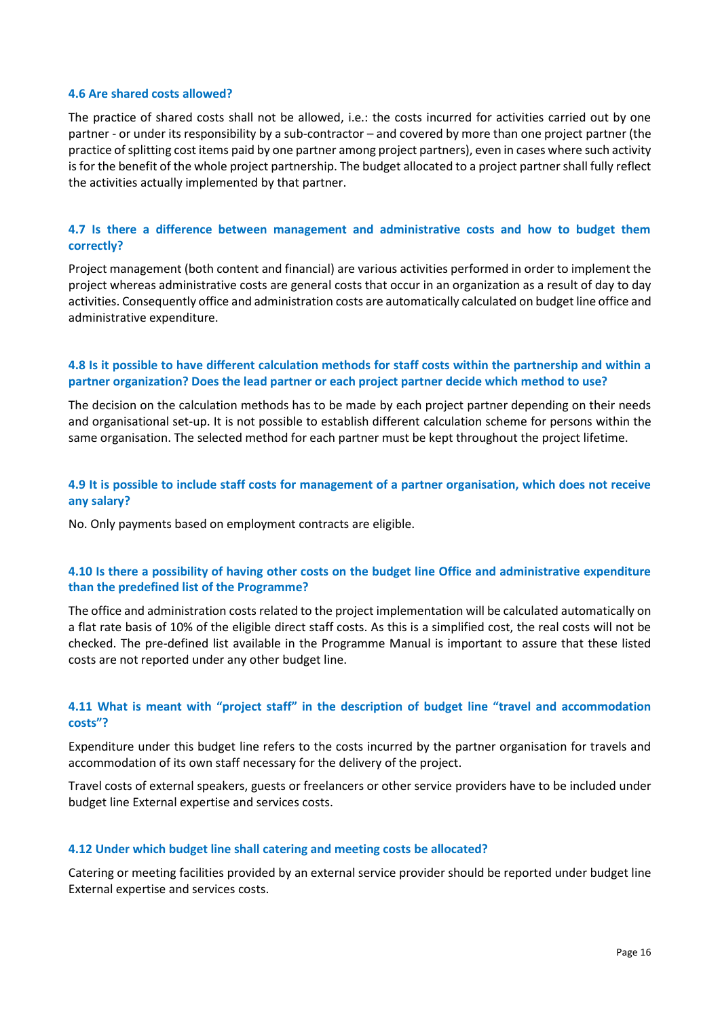#### **4.6 Are shared costs allowed?**

The practice of shared costs shall not be allowed, i.e.: the costs incurred for activities carried out by one partner - or under its responsibility by a sub-contractor – and covered by more than one project partner (the practice of splitting cost items paid by one partner among project partners), even in cases where such activity is for the benefit of the whole project partnership. The budget allocated to a project partner shall fully reflect the activities actually implemented by that partner.

## **4.7 [Is there a difference between management and administrative costs and how to budget them](http://www.interreg-baltic.eu/faq.html#/faq12)  [correctly?](http://www.interreg-baltic.eu/faq.html#/faq12)**

Project management (both content and financial) are various activities performed in order to implement the project whereas administrative costs are general costs that occur in an organization as a result of day to day activities. Consequently office and administration costs are automatically calculated on budget line office and administrative expenditure.

## **4.8 [Is it possible to have different calculation methods for staff costs within the partnership and within a](http://www.interreg-baltic.eu/faq.html#/faq14)  [partner organization? Does the lead partner or each project partner decide which method to use?](http://www.interreg-baltic.eu/faq.html#/faq14)**

The decision on the calculation methods has to be made by each project partner depending on their needs and organisational set-up. It is not possible to establish different calculation scheme for persons within the same organisation. The selected method for each partner must be kept throughout the project lifetime.

## **4.9 [It is possible to include staff costs for management of a partner organisation, which does not receive](http://www.interreg-baltic.eu/faq.html#/faq16)  [any salary?](http://www.interreg-baltic.eu/faq.html#/faq16)**

No. Only payments based on employment contracts are eligible.

## **4.10 [Is there a possibility of having other costs on the budget line Office and administrative expenditure](http://www.interreg-baltic.eu/faq.html#/faq19)  [than the predefined list of the Programme?](http://www.interreg-baltic.eu/faq.html#/faq19)**

The office and administration costs related to the project implementation will be calculated automatically on a flat rate basis of 10% of the eligible direct staff costs. As this is a simplified cost, the real costs will not be checked. The pre-defined list available in the Programme Manual is important to assure that these listed costs are not reported under any other budget line.

## **4.11 What is meant with ["project staff" in the description of budget line "travel and accommodation](http://www.interreg-baltic.eu/faq.html#/faq20)  [costs"?](http://www.interreg-baltic.eu/faq.html#/faq20)**

Expenditure under this budget line refers to the costs incurred by the partner organisation for travels and accommodation of its own staff necessary for the delivery of the project.

Travel costs of external speakers, guests or freelancers or other service providers have to be included under budget line External expertise and services costs.

#### **4.12 [Under which budget line shall catering and meeting costs](http://www.interreg-baltic.eu/faq.html#/faq21) be allocated?**

Catering or meeting facilities provided by an external service provider should be reported under budget line External expertise and services costs.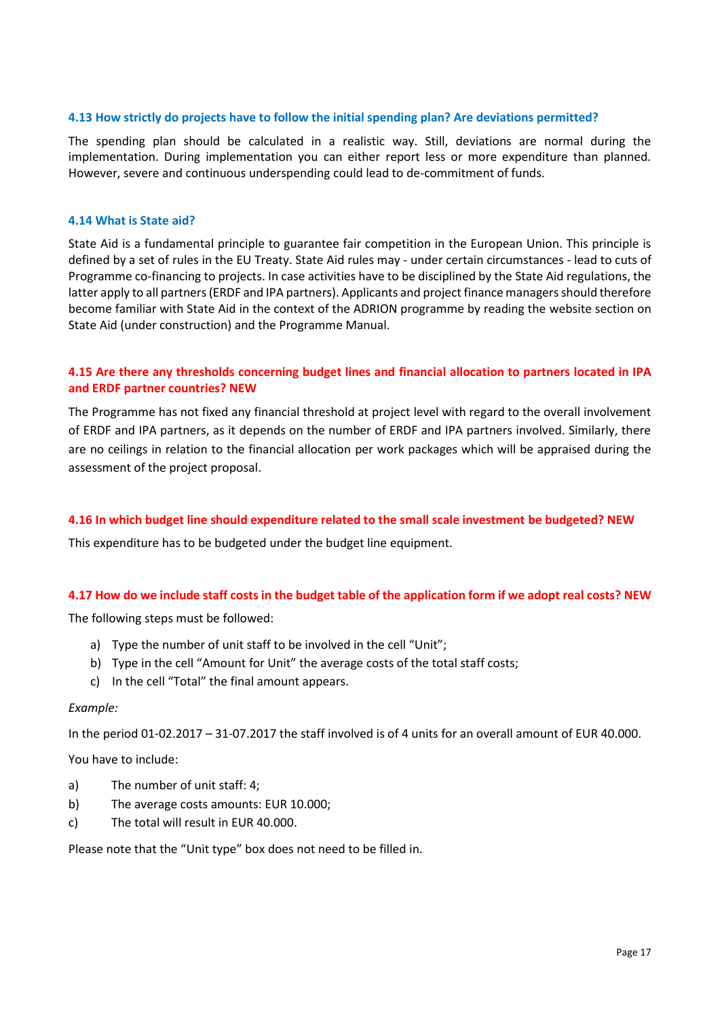## **4.13 [How strictly do projects have to follow the initial spending plan? Are deviations permitted?](http://www.interreg-baltic.eu/faq.html#/faq36)**

The spending plan should be calculated in a realistic way. Still, deviations are normal during the implementation. During implementation you can either report less or more expenditure than planned. However, severe and continuous underspending could lead to de-commitment of funds.

#### **4.14 [What is State aid?](http://www.interreg-baltic.eu/faq.html#/faq39)**

State Aid is a fundamental principle to guarantee fair competition in the European Union. This principle is defined by a set of rules in the EU Treaty. State Aid rules may - under certain circumstances - lead to cuts of Programme co-financing to projects. In case activities have to be disciplined by the State Aid regulations, the latter apply to all partners (ERDF and IPA partners). Applicants and project finance managers should therefore become familiar with State Aid in the context of the ADRION programme by reading the [website section on](http://www.interreg-baltic.eu/for-projects/state-aid.html)  [State Aid](http://www.interreg-baltic.eu/for-projects/state-aid.html) (under construction) and the Programme Manual.

## **4.15 Are there any thresholds concerning budget lines and financial allocation to partners located in IPA and ERDF partner countries? NEW**

The Programme has not fixed any financial threshold at project level with regard to the overall involvement of ERDF and IPA partners, as it depends on the number of ERDF and IPA partners involved. Similarly, there are no ceilings in relation to the financial allocation per work packages which will be appraised during the assessment of the project proposal.

## **4.16 In which budget line should expenditure related to the small scale investment be budgeted? NEW**

This expenditure has to be budgeted under the budget line equipment.

#### **4.17 How do we include staff costs in the budget table of the application form if we adopt real costs? NEW**

The following steps must be followed:

- a) Type the number of unit staff to be involved in the cell "Unit";
- b) Type in the cell "Amount for Unit" the average costs of the total staff costs;
- c) In the cell "Total" the final amount appears.

#### *Example:*

In the period 01-02.2017 – 31-07.2017 the staff involved is of 4 units for an overall amount of EUR 40.000.

You have to include:

- a) The number of unit staff: 4;
- b) The average costs amounts: EUR 10.000;
- c) The total will result in EUR 40.000.

Please note that the "Unit type" box does not need to be filled in.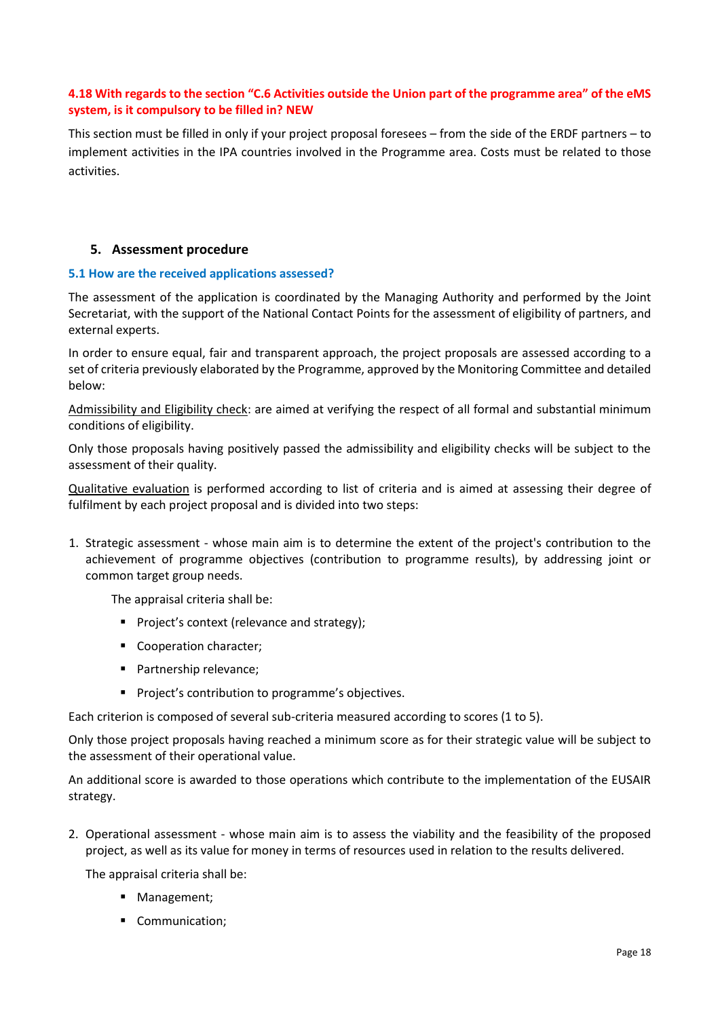## **4.18 With regards to the section "C.6 Activities outside the Union part of the programme area" of the eMS system, is it compulsory to be filled in? NEW**

This section must be filled in only if your project proposal foresees – from the side of the ERDF partners – to implement activities in the IPA countries involved in the Programme area. Costs must be related to those activities.

## <span id="page-17-0"></span>**5. Assessment procedure**

## **5.1 How are the received applications assessed?**

The assessment of the application is coordinated by the Managing Authority and performed by the Joint Secretariat, with the support of the National Contact Points for the assessment of eligibility of partners, and external experts.

In order to ensure equal, fair and transparent approach, the project proposals are assessed according to a set of criteria previously elaborated by the Programme, approved by the Monitoring Committee and detailed below:

Admissibility and Eligibility check: are aimed at verifying the respect of all formal and substantial minimum conditions of eligibility.

Only those proposals having positively passed the admissibility and eligibility checks will be subject to the assessment of their quality.

Qualitative evaluation is performed according to list of criteria and is aimed at assessing their degree of fulfilment by each project proposal and is divided into two steps:

1. Strategic assessment - whose main aim is to determine the extent of the project's contribution to the achievement of programme objectives (contribution to programme results), by addressing joint or common target group needs.

The appraisal criteria shall be:

- **Project's context (relevance and strategy);**
- Cooperation character:
- **Partnership relevance:**
- **Project's contribution to programme's objectives.**

Each criterion is composed of several sub-criteria measured according to scores (1 to 5).

Only those project proposals having reached a minimum score as for their strategic value will be subject to the assessment of their operational value.

An additional score is awarded to those operations which contribute to the implementation of the EUSAIR strategy.

2. Operational assessment - whose main aim is to assess the viability and the feasibility of the proposed project, as well as its value for money in terms of resources used in relation to the results delivered.

The appraisal criteria shall be:

- **Management;**
- Communication;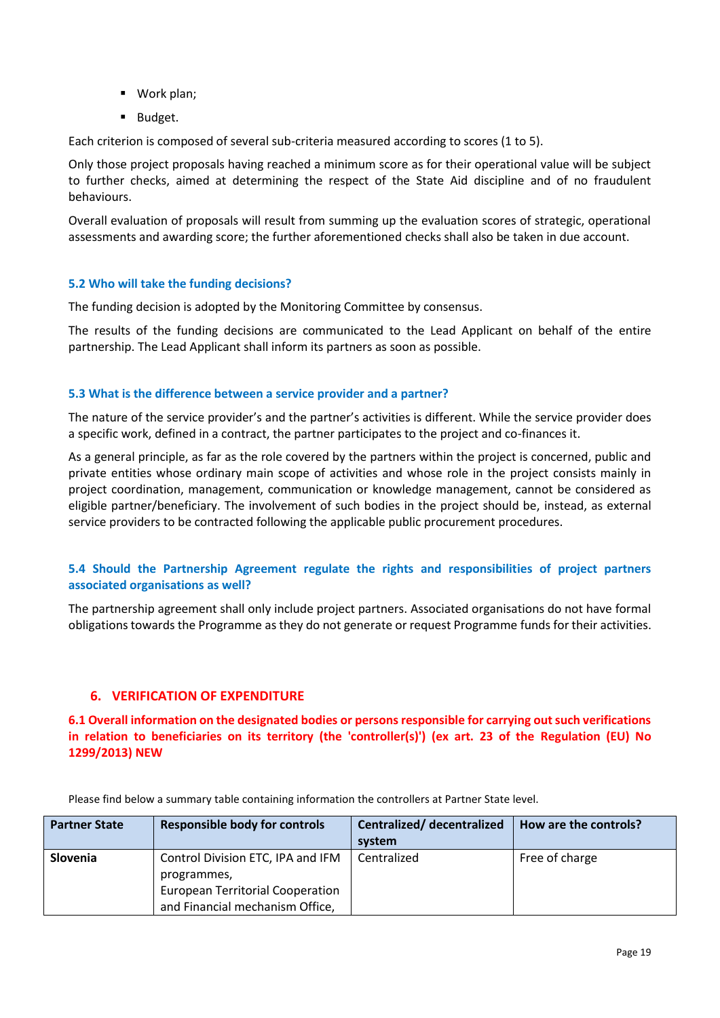- Work plan;
- **Budget.**

Each criterion is composed of several sub-criteria measured according to scores (1 to 5).

Only those project proposals having reached a minimum score as for their operational value will be subject to further checks, aimed at determining the respect of the State Aid discipline and of no fraudulent behaviours.

Overall evaluation of proposals will result from summing up the evaluation scores of strategic, operational assessments and awarding score; the further aforementioned checks shall also be taken in due account.

## **5.2 Who will take the funding decisions?**

The funding decision is adopted by the Monitoring Committee by consensus.

The results of the funding decisions are communicated to the Lead Applicant on behalf of the entire partnership. The Lead Applicant shall inform its partners as soon as possible.

#### **5.3 What is the difference between a service provider and a partner?**

The nature of the service provider's and the partner's activities is different. While the service provider does a specific work, defined in a contract, the partner participates to the project and co-finances it.

As a general principle, as far as the role covered by the partners within the project is concerned, public and private entities whose ordinary main scope of activities and whose role in the project consists mainly in project coordination, management, communication or knowledge management, cannot be considered as eligible partner/beneficiary. The involvement of such bodies in the project should be, instead, as external service providers to be contracted following the applicable public procurement procedures.

## **5.4 [Should the Partnership Agreement regulate the rights and responsibilities of project partners](http://www.interreg-baltic.eu/faq.html#/faq33)  [associated organisations as well?](http://www.interreg-baltic.eu/faq.html#/faq33)**

The partnership agreement shall only include project partners. Associated organisations do not have formal obligations towards the Programme as they do not generate or request Programme funds for their activities.

# <span id="page-18-0"></span>**6. VERIFICATION OF EXPENDITURE**

**6.1 Overall information on the designated bodies or persons responsible for carrying out such verifications in relation to beneficiaries on its territory (the 'controller(s)') (ex art. 23 of the Regulation (EU) No 1299/2013) NEW**

| <b>Partner State</b> | <b>Responsible body for controls</b>    | Centralized/decentralized<br>system | How are the controls? |
|----------------------|-----------------------------------------|-------------------------------------|-----------------------|
| <b>Slovenia</b>      | Control Division ETC, IPA and IFM       | Centralized                         | Free of charge        |
|                      | programmes,                             |                                     |                       |
|                      | <b>European Territorial Cooperation</b> |                                     |                       |
|                      | and Financial mechanism Office,         |                                     |                       |

Please find below a summary table containing information the controllers at Partner State level.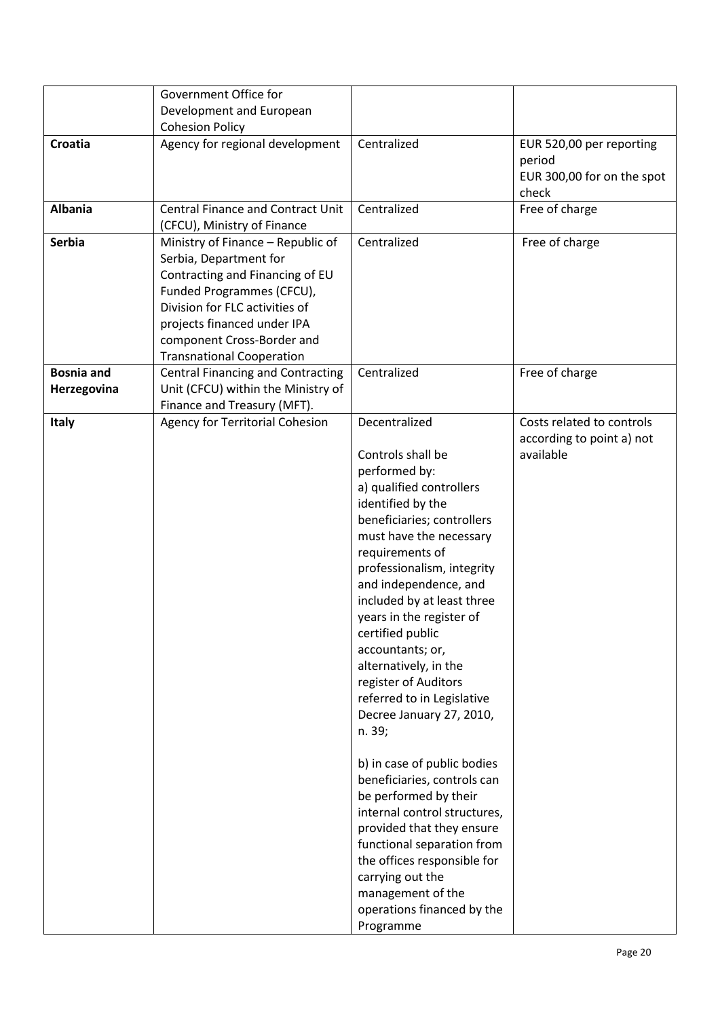| Agency for regional development<br>Centralized<br>Croatia<br>period<br>check<br><b>Albania</b><br><b>Central Finance and Contract Unit</b><br>Centralized<br>Free of charge<br>(CFCU), Ministry of Finance<br><b>Serbia</b><br>Centralized<br>Free of charge<br>Ministry of Finance - Republic of<br>Serbia, Department for<br>Contracting and Financing of EU<br>Funded Programmes (CFCU),<br>Division for FLC activities of<br>projects financed under IPA<br>component Cross-Border and<br><b>Transnational Cooperation</b><br><b>Bosnia and</b><br>Centralized<br><b>Central Financing and Contracting</b><br>Free of charge<br>Unit (CFCU) within the Ministry of<br>Herzegovina<br>Finance and Treasury (MFT).<br>Decentralized<br>Agency for Territorial Cohesion<br><b>Italy</b><br>available<br>Controls shall be<br>performed by:<br>a) qualified controllers<br>identified by the<br>beneficiaries; controllers<br>must have the necessary<br>requirements of<br>professionalism, integrity | Government Office for<br>Development and European<br><b>Cohesion Policy</b> |                       |                                                        |
|--------------------------------------------------------------------------------------------------------------------------------------------------------------------------------------------------------------------------------------------------------------------------------------------------------------------------------------------------------------------------------------------------------------------------------------------------------------------------------------------------------------------------------------------------------------------------------------------------------------------------------------------------------------------------------------------------------------------------------------------------------------------------------------------------------------------------------------------------------------------------------------------------------------------------------------------------------------------------------------------------------|-----------------------------------------------------------------------------|-----------------------|--------------------------------------------------------|
|                                                                                                                                                                                                                                                                                                                                                                                                                                                                                                                                                                                                                                                                                                                                                                                                                                                                                                                                                                                                        |                                                                             |                       | EUR 520,00 per reporting<br>EUR 300,00 for on the spot |
|                                                                                                                                                                                                                                                                                                                                                                                                                                                                                                                                                                                                                                                                                                                                                                                                                                                                                                                                                                                                        |                                                                             |                       |                                                        |
|                                                                                                                                                                                                                                                                                                                                                                                                                                                                                                                                                                                                                                                                                                                                                                                                                                                                                                                                                                                                        |                                                                             |                       |                                                        |
|                                                                                                                                                                                                                                                                                                                                                                                                                                                                                                                                                                                                                                                                                                                                                                                                                                                                                                                                                                                                        |                                                                             |                       |                                                        |
|                                                                                                                                                                                                                                                                                                                                                                                                                                                                                                                                                                                                                                                                                                                                                                                                                                                                                                                                                                                                        |                                                                             |                       |                                                        |
| included by at least three<br>years in the register of<br>certified public<br>accountants; or,<br>alternatively, in the<br>register of Auditors<br>referred to in Legislative<br>Decree January 27, 2010,<br>n. 39;<br>b) in case of public bodies<br>beneficiaries, controls can<br>be performed by their<br>internal control structures,<br>provided that they ensure<br>functional separation from<br>the offices responsible for<br>carrying out the<br>management of the<br>operations financed by the                                                                                                                                                                                                                                                                                                                                                                                                                                                                                            |                                                                             | and independence, and | Costs related to controls<br>according to point a) not |